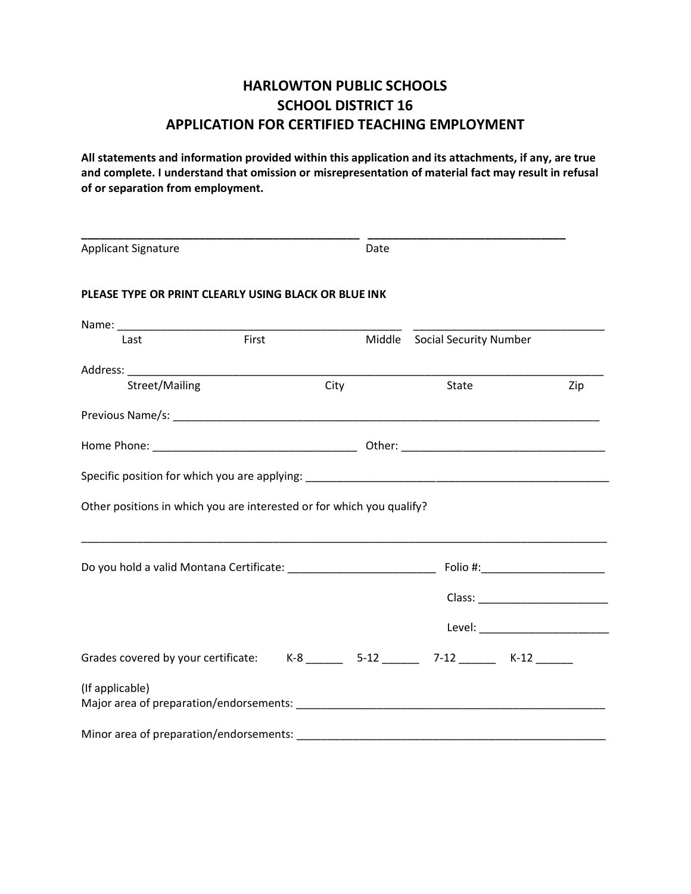# **HARLOWTON PUBLIC SCHOOLS SCHOOL DISTRICT 16 APPLICATION FOR CERTIFIED TEACHING EMPLOYMENT**

**All statements and information provided within this application and its attachments, if any, are true and complete. I understand that omission or misrepresentation of material fact may result in refusal of or separation from employment.**

| <b>Applicant Signature</b>                                            |       |      | Date |                                                                                                                |     |
|-----------------------------------------------------------------------|-------|------|------|----------------------------------------------------------------------------------------------------------------|-----|
| PLEASE TYPE OR PRINT CLEARLY USING BLACK OR BLUE INK                  |       |      |      |                                                                                                                |     |
|                                                                       | First |      |      | Middle Social Security Number                                                                                  |     |
| Last                                                                  |       |      |      |                                                                                                                |     |
|                                                                       |       |      |      |                                                                                                                |     |
| Street/Mailing                                                        |       | City |      | State                                                                                                          | Zip |
|                                                                       |       |      |      |                                                                                                                |     |
|                                                                       |       |      |      |                                                                                                                |     |
| Other positions in which you are interested or for which you qualify? |       |      |      |                                                                                                                |     |
|                                                                       |       |      |      |                                                                                                                |     |
|                                                                       |       |      |      |                                                                                                                |     |
|                                                                       |       |      |      |                                                                                                                |     |
|                                                                       |       |      |      |                                                                                                                |     |
|                                                                       |       |      |      | Grades covered by your certificate: K-8 _______ 5-12 ______ 7-12 ______ K-12 _____                             |     |
| (If applicable)                                                       |       |      |      | Major area of preparation/endorsements: National Communication of the control of the control of the control of |     |
|                                                                       |       |      |      |                                                                                                                |     |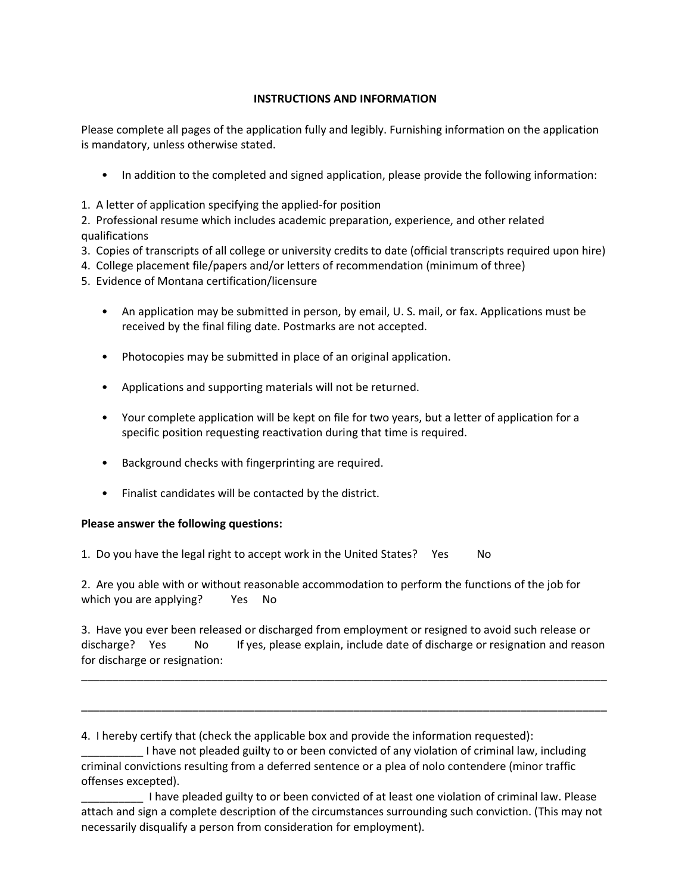## **INSTRUCTIONS AND INFORMATION**

Please complete all pages of the application fully and legibly. Furnishing information on the application is mandatory, unless otherwise stated.

- In addition to the completed and signed application, please provide the following information:
- 1. A letter of application specifying the applied-for position

2. Professional resume which includes academic preparation, experience, and other related qualifications

- 3. Copies of transcripts of all college or university credits to date (official transcripts required upon hire)
- 4. College placement file/papers and/or letters of recommendation (minimum of three)
- 5. Evidence of Montana certification/licensure
	- An application may be submitted in person, by email, U. S. mail, or fax. Applications must be received by the final filing date. Postmarks are not accepted.
	- Photocopies may be submitted in place of an original application.
	- Applications and supporting materials will not be returned.
	- Your complete application will be kept on file for two years, but a letter of application for a specific position requesting reactivation during that time is required.
	- Background checks with fingerprinting are required.
	- Finalist candidates will be contacted by the district.

## **Please answer the following questions:**

1. Do you have the legal right to accept work in the United States? Yes No

2. Are you able with or without reasonable accommodation to perform the functions of the job for which you are applying? Yes No

3. Have you ever been released or discharged from employment or resigned to avoid such release or discharge? Yes No If yes, please explain, include date of discharge or resignation and reason for discharge or resignation:

\_\_\_\_\_\_\_\_\_\_\_\_\_\_\_\_\_\_\_\_\_\_\_\_\_\_\_\_\_\_\_\_\_\_\_\_\_\_\_\_\_\_\_\_\_\_\_\_\_\_\_\_\_\_\_\_\_\_\_\_\_\_\_\_\_\_\_\_\_\_\_\_\_\_\_\_\_\_\_\_\_\_\_\_\_

\_\_\_\_\_\_\_\_\_\_\_\_\_\_\_\_\_\_\_\_\_\_\_\_\_\_\_\_\_\_\_\_\_\_\_\_\_\_\_\_\_\_\_\_\_\_\_\_\_\_\_\_\_\_\_\_\_\_\_\_\_\_\_\_\_\_\_\_\_\_\_\_\_\_\_\_\_\_\_\_\_\_\_\_\_

4. I hereby certify that (check the applicable box and provide the information requested):

\_\_\_\_\_\_\_\_\_\_ I have not pleaded guilty to or been convicted of any violation of criminal law, including criminal convictions resulting from a deferred sentence or a plea of nolo contendere (minor traffic offenses excepted).

\_\_\_\_\_\_\_\_\_\_ I have pleaded guilty to or been convicted of at least one violation of criminal law. Please attach and sign a complete description of the circumstances surrounding such conviction. (This may not necessarily disqualify a person from consideration for employment).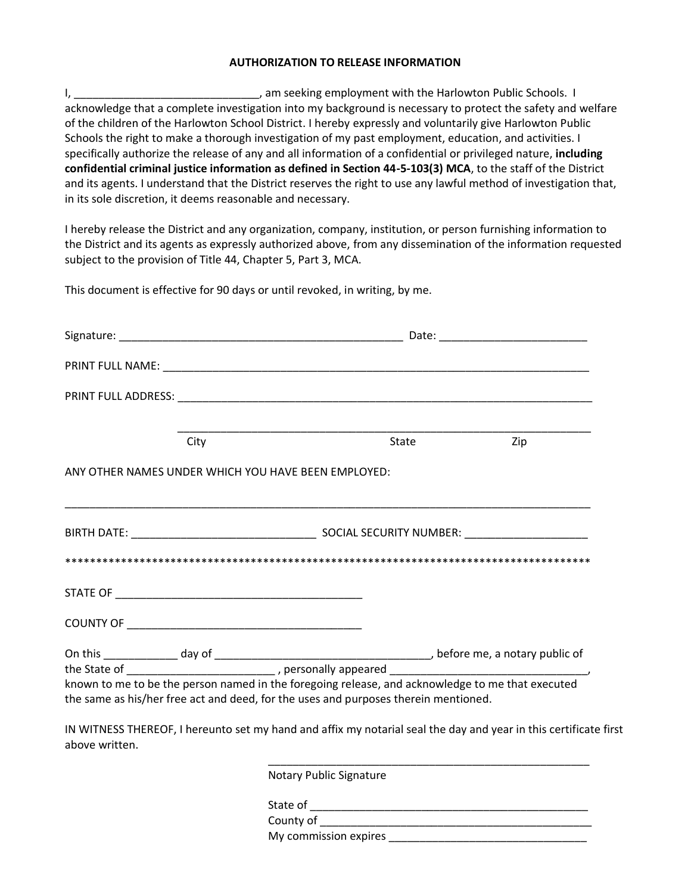#### **AUTHORIZATION TO RELEASE INFORMATION**

I, \_\_\_\_\_\_\_\_\_\_\_\_\_\_\_\_\_\_\_\_\_\_\_\_\_\_\_\_\_\_\_\_\_\_, am seeking employment with the Harlowton Public Schools. I acknowledge that a complete investigation into my background is necessary to protect the safety and welfare of the children of the Harlowton School District. I hereby expressly and voluntarily give Harlowton Public Schools the right to make a thorough investigation of my past employment, education, and activities. I specifically authorize the release of any and all information of a confidential or privileged nature, **including confidential criminal justice information as defined in Section 44-5-103(3) MCA**, to the staff of the District and its agents. I understand that the District reserves the right to use any lawful method of investigation that, in its sole discretion, it deems reasonable and necessary.

I hereby release the District and any organization, company, institution, or person furnishing information to the District and its agents as expressly authorized above, from any dissemination of the information requested subject to the provision of Title 44, Chapter 5, Part 3, MCA.

This document is effective for 90 days or until revoked, in writing, by me.

|                                                                                     | City |  |  | State Zip                                                                                        |
|-------------------------------------------------------------------------------------|------|--|--|--------------------------------------------------------------------------------------------------|
| ANY OTHER NAMES UNDER WHICH YOU HAVE BEEN EMPLOYED:                                 |      |  |  |                                                                                                  |
|                                                                                     |      |  |  |                                                                                                  |
|                                                                                     |      |  |  |                                                                                                  |
|                                                                                     |      |  |  |                                                                                                  |
|                                                                                     |      |  |  |                                                                                                  |
|                                                                                     |      |  |  |                                                                                                  |
|                                                                                     |      |  |  |                                                                                                  |
|                                                                                     |      |  |  | known to me to be the person named in the foregoing release, and acknowledge to me that executed |
| the same as his/her free act and deed, for the uses and purposes therein mentioned. |      |  |  |                                                                                                  |
|                                                                                     |      |  |  |                                                                                                  |

IN WITNESS THEREOF, I hereunto set my hand and affix my notarial seal the day and year in this certificate first above written.

> \_\_\_\_\_\_\_\_\_\_\_\_\_\_\_\_\_\_\_\_\_\_\_\_\_\_\_\_\_\_\_\_\_\_\_\_\_\_\_\_\_\_\_\_\_\_\_\_\_\_\_\_ Notary Public Signature

State of \_\_\_\_\_\_\_\_\_\_\_\_\_\_\_\_\_\_\_\_\_\_\_\_\_\_\_\_\_\_\_\_\_\_\_\_\_\_\_\_\_\_\_\_\_ County of \_\_\_\_\_\_\_\_\_\_\_\_\_\_\_\_\_\_\_\_\_\_\_\_\_\_\_\_\_\_\_\_\_\_\_\_\_\_\_\_\_\_\_\_ My commission expires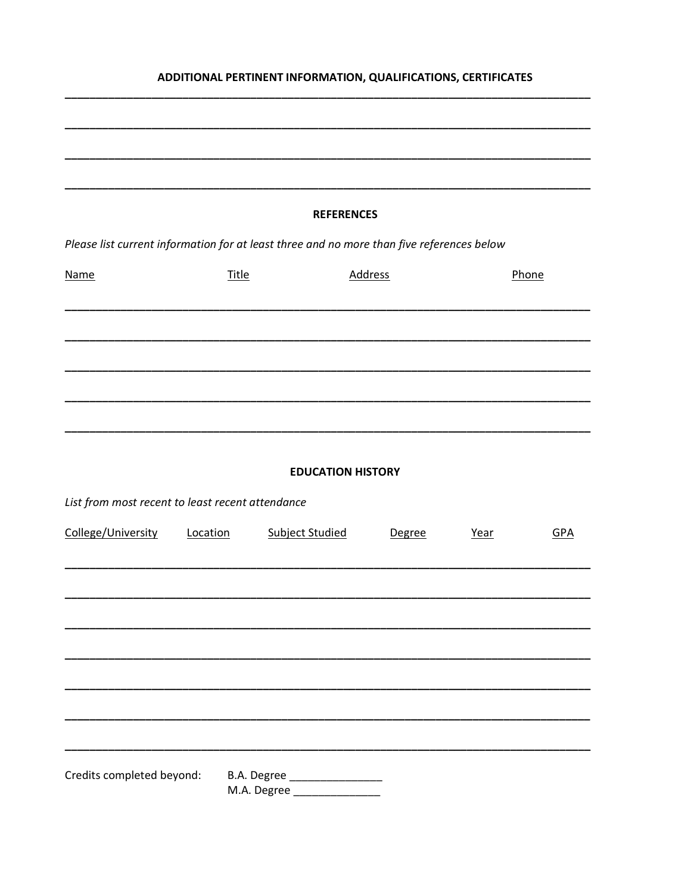# ADDITIONAL PERTINENT INFORMATION, QUALIFICATIONS, CERTIFICATES

|                                                  |              | <b>REFERENCES</b>                                                                         |                |      |            |  |
|--------------------------------------------------|--------------|-------------------------------------------------------------------------------------------|----------------|------|------------|--|
|                                                  |              | Please list current information for at least three and no more than five references below |                |      |            |  |
| <b>Name</b>                                      | <b>Title</b> |                                                                                           | <b>Address</b> |      | Phone      |  |
|                                                  |              |                                                                                           |                |      |            |  |
|                                                  |              |                                                                                           |                |      |            |  |
|                                                  |              |                                                                                           |                |      |            |  |
|                                                  |              |                                                                                           |                |      |            |  |
|                                                  |              |                                                                                           |                |      |            |  |
|                                                  |              | <b>EDUCATION HISTORY</b>                                                                  |                |      |            |  |
| List from most recent to least recent attendance |              |                                                                                           |                |      |            |  |
| College/University                               | Location     | <b>Subject Studied</b>                                                                    | Degree         | Year | <b>GPA</b> |  |
|                                                  |              |                                                                                           |                |      |            |  |
|                                                  |              |                                                                                           |                |      |            |  |
|                                                  |              |                                                                                           |                |      |            |  |
|                                                  |              |                                                                                           |                |      |            |  |
|                                                  |              |                                                                                           |                |      |            |  |
|                                                  |              |                                                                                           |                |      |            |  |
| Credits completed beyond:                        |              | B.A. Degree _____________________                                                         |                |      |            |  |
|                                                  |              | M.A. Degree __________________                                                            |                |      |            |  |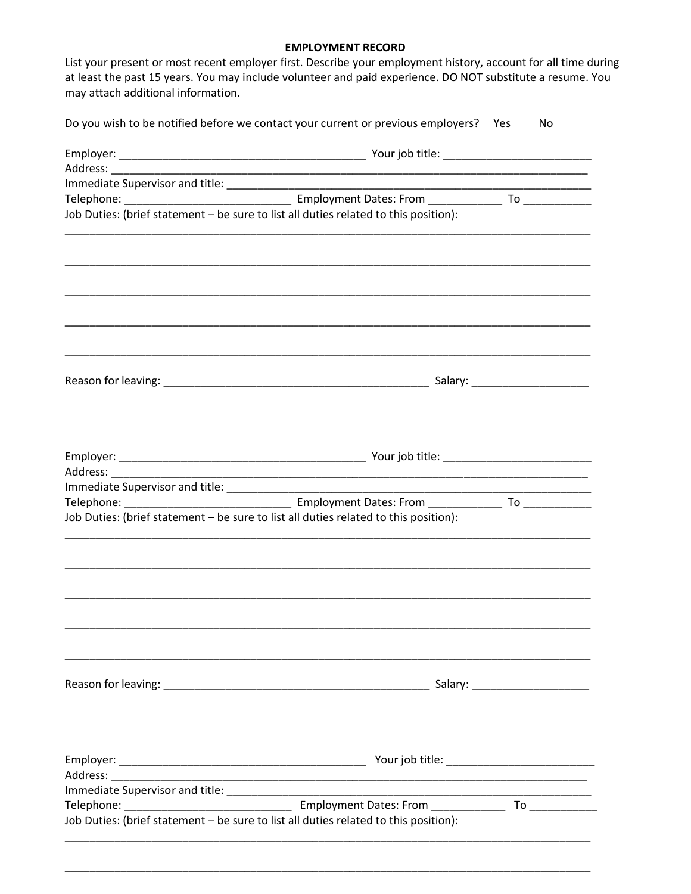### **EMPLOYMENT RECORD**

List your present or most recent employer first. Describe your employment history, account for all time during at least the past 15 years. You may include volunteer and paid experience. DO NOT substitute a resume. You may attach additional information.

| Job Duties: (brief statement - be sure to list all duties related to this position): |  |  |  |  |
|--------------------------------------------------------------------------------------|--|--|--|--|
|                                                                                      |  |  |  |  |
|                                                                                      |  |  |  |  |
|                                                                                      |  |  |  |  |
|                                                                                      |  |  |  |  |
|                                                                                      |  |  |  |  |
| Job Duties: (brief statement - be sure to list all duties related to this position): |  |  |  |  |
|                                                                                      |  |  |  |  |
|                                                                                      |  |  |  |  |
|                                                                                      |  |  |  |  |
|                                                                                      |  |  |  |  |
|                                                                                      |  |  |  |  |
|                                                                                      |  |  |  |  |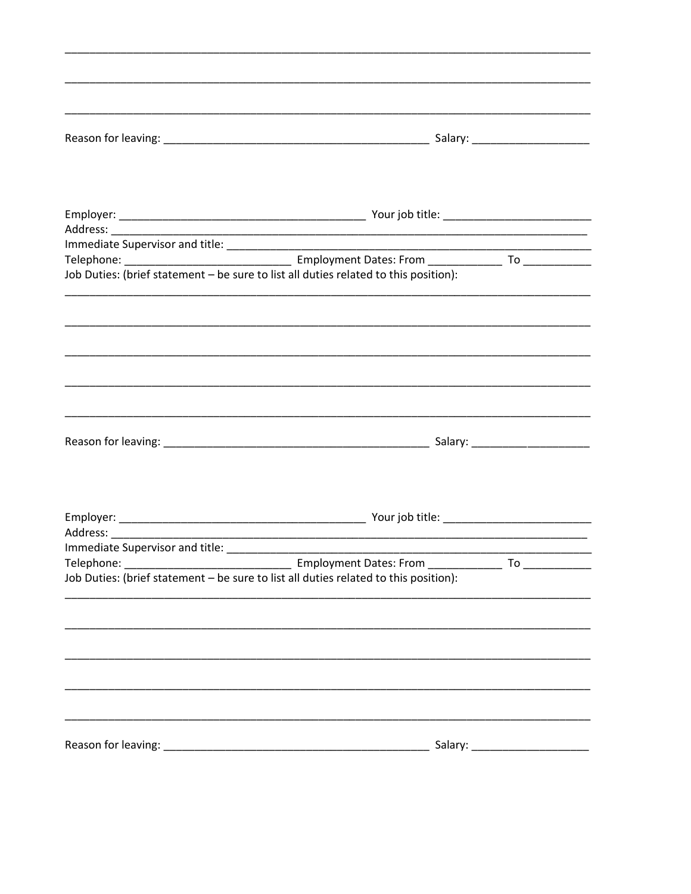| Job Duties: (brief statement - be sure to list all duties related to this position): |                                     |    |  |  |
|--------------------------------------------------------------------------------------|-------------------------------------|----|--|--|
|                                                                                      |                                     |    |  |  |
|                                                                                      |                                     |    |  |  |
|                                                                                      |                                     |    |  |  |
|                                                                                      |                                     |    |  |  |
|                                                                                      |                                     |    |  |  |
|                                                                                      |                                     |    |  |  |
|                                                                                      |                                     |    |  |  |
|                                                                                      |                                     |    |  |  |
| Telephone:                                                                           | Employment Dates: From ____________ | To |  |  |
| Job Duties: (brief statement - be sure to list all duties related to this position): |                                     |    |  |  |
|                                                                                      |                                     |    |  |  |
|                                                                                      |                                     |    |  |  |
|                                                                                      |                                     |    |  |  |
|                                                                                      |                                     |    |  |  |
|                                                                                      |                                     |    |  |  |
|                                                                                      |                                     |    |  |  |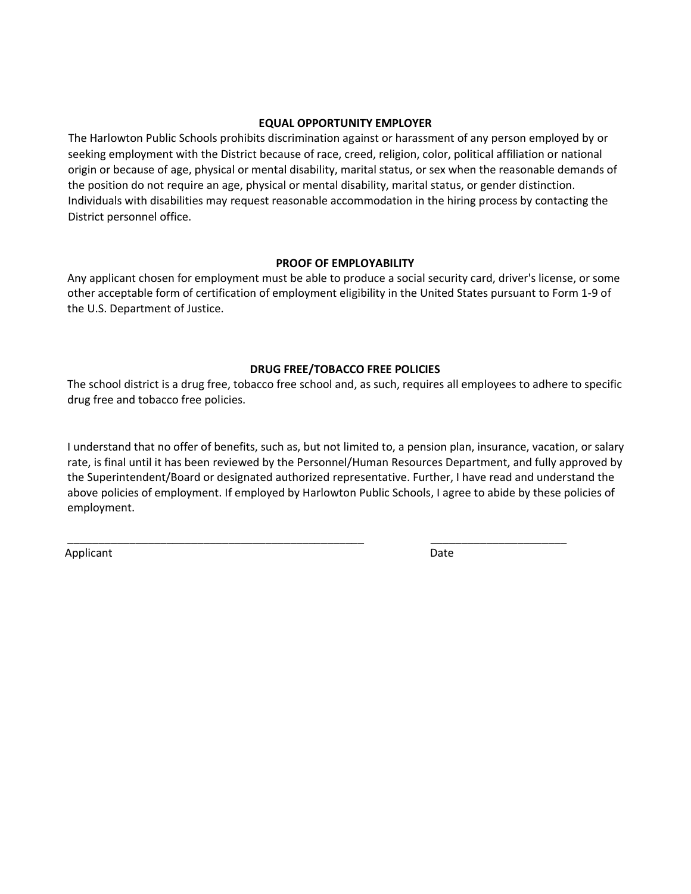### **EQUAL OPPORTUNITY EMPLOYER**

The Harlowton Public Schools prohibits discrimination against or harassment of any person employed by or seeking employment with the District because of race, creed, religion, color, political affiliation or national origin or because of age, physical or mental disability, marital status, or sex when the reasonable demands of the position do not require an age, physical or mental disability, marital status, or gender distinction. Individuals with disabilities may request reasonable accommodation in the hiring process by contacting the District personnel office.

### **PROOF OF EMPLOYABILITY**

Any applicant chosen for employment must be able to produce a social security card, driver's license, or some other acceptable form of certification of employment eligibility in the United States pursuant to Form 1-9 of the U.S. Department of Justice.

### **DRUG FREE/TOBACCO FREE POLICIES**

The school district is a drug free, tobacco free school and, as such, requires all employees to adhere to specific drug free and tobacco free policies.

I understand that no offer of benefits, such as, but not limited to, a pension plan, insurance, vacation, or salary rate, is final until it has been reviewed by the Personnel/Human Resources Department, and fully approved by the Superintendent/Board or designated authorized representative. Further, I have read and understand the above policies of employment. If employed by Harlowton Public Schools, I agree to abide by these policies of employment.

\_\_\_\_\_\_\_\_\_\_\_\_\_\_\_\_\_\_\_\_\_\_\_\_\_\_\_\_\_\_\_\_\_\_\_\_\_\_\_\_\_\_\_\_\_\_\_\_ \_\_\_\_\_\_\_\_\_\_\_\_\_\_\_\_\_\_\_\_\_\_

Applicant Date Date Applicant Date Date Date Date Date Date Date